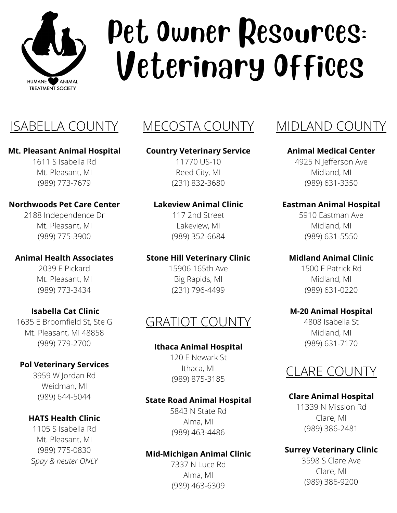

# Pet Owner Resources: Veterinary Offices

### ISABELLA COUNTY MECOSTA COUNTY

#### **Mt. Pleasant Animal Hospital**

1611 S Isabella Rd Mt. Pleasant, MI (989) 773-7679

### **Northwoods Pet Care Center**

2188 Independence Dr Mt. Pleasant, MI (989) 775-3900

### **Animal Health Associates**

2039 E Pickard Mt. Pleasant, MI (989) 773-3434

### **Isabella Cat Clinic**

1635 E Broomfield St, Ste G Mt. Pleasant, MI 48858 (989) 779-2700

### **Pol Veterinary Services**

3959 W Jordan Rd Weidman, MI (989) 644-5044

### **HATS Health Clinic**

1105 S Isabella Rd Mt. Pleasant, MI (989) 775-0830 S*pay & neuter ONLY*

### **Country Veterinary Service**

11770 US-10 Reed City, MI (231) 832-3680

#### **Lakeview Animal Clinic**

117 2nd Street Lakeview, MI (989) 352-6684

#### **Stone Hill Veterinary Clinic**

15906 165th Ave Big Rapids, MI (231) 796-4499

### GRATIOT COUNTY

### **Ithaca Animal Hospital**

120 E Newark St Ithaca, MI (989) 875-3185

### **State Road Animal Hospital**

5843 N State Rd Alma, MI (989) 463-4486

### **Mid-Michigan Animal Clinic**

7337 N Luce Rd Alma, MI (989) 463-6309

### MIDLAND COUNTY

#### **Animal Medical Center**

4925 N Jefferson Ave Midland, MI (989) 631-3350

### **Eastman Animal Hospital**

5910 Eastman Ave Midland, MI (989) 631-5550

#### **Midland Animal Clinic**

1500 E Patrick Rd Midland, MI (989) 631-0220

#### **M-20 Animal Hospital**

4808 Isabella St Midland, MI (989) 631-7170

### CLARE COUNTY

### **Clare Animal Hospital**

11339 N Mission Rd Clare, MI (989) 386-2481

### **Surrey Veterinary Clinic**

3598 S Clare Ave Clare, MI (989) 386-9200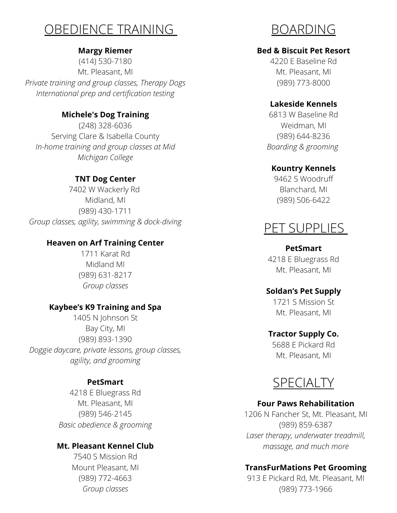### OBEDIENCE TRAINING

### **Margy Riemer**

(414) 530-7180 Mt. Pleasant, MI *Private training and group classes, Therapy Dogs International prep and certification testing*

### **Michele's Dog Training**

(248) 328-6036 Serving Clare & Isabella County *In-home training and group classes at Mid Michigan College*

### **TNT Dog Center**

7402 W Wackerly Rd Midland, MI (989) 430-1711 *Group classes, agility, swimming & dock-diving*

### **Heaven on Arf Training Center**

1711 Karat Rd Midland MI (989) 631-8217 *Group classes*

### **Kaybee's K9 Training and Spa**

1405 N Johnson St Bay City, MI (989) 893-1390 *Doggie daycare, private lessons, group classes, agility, and grooming*

### **PetSmart**

4218 E Bluegrass Rd Mt. Pleasant, MI (989) 546-2145 *Basic obedience & grooming*

### **Mt. Pleasant Kennel Club**

7540 S Mission Rd Mount Pleasant, MI (989) 772-4663 *Group classes*

BOARDING

### **Bed & Biscuit Pet Resort**

4220 E Baseline Rd Mt. Pleasant, MI (989) 773-8000

### **Lakeside Kennels**

6813 W Baseline Rd Weidman, MI (989) 644-8236 *Boarding & grooming*

### **Kountry Kennels**

9462 S Woodruff Blanchard, MI (989) 506-6422

### PET SUPPLIES

#### **PetSmart**

4218 E Bluegrass Rd Mt. Pleasant, MI

### **Soldan's Pet Supply**

1721 S Mission St Mt. Pleasant, MI

### **Tractor Supply Co.**

5688 E Pickard Rd Mt. Pleasant, MI



### **Four Paws Rehabilitation**

1206 N Fancher St, Mt. Pleasant, MI (989) 859-6387 *Laser therapy, underwater treadmill, massage, and much more*

### **TransFurMations Pet Grooming**

913 E Pickard Rd, Mt. Pleasant, MI (989) 773-1966